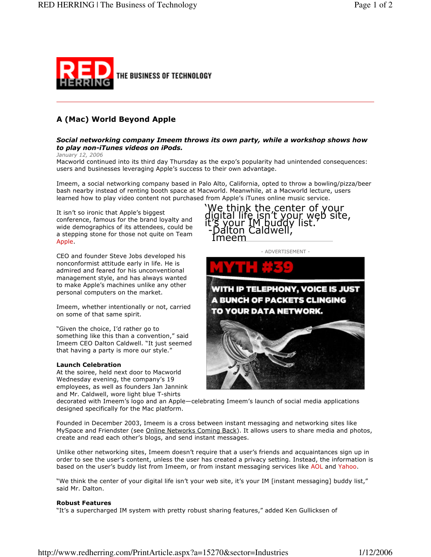

# A (Mac) World Beyond Apple

## Social networking company Imeem throws its own party, while a workshop shows how to play non-iTunes videos on iPods.

January 12, 2006

Macworld continued into its third day Thursday as the expo's popularity had unintended consequences: users and businesses leveraging Apple's success to their own advantage.

Imeem, a social networking company based in Palo Alto, California, opted to throw a bowling/pizza/beer bash nearby instead of renting booth space at Macworld. Meanwhile, at a Macworld lecture, users learned how to play video content not purchased from Apple's iTunes online music service.

It isn't so ironic that Apple's biggest conference, famous for the brand loyalty and wide demographics of its attendees, could be a stepping stone for those not quite on Team Apple

CEO and founder Steve Jobs developed his nonconformist attitude early in life. He is admired and feared for his unconventional management style, and has always wanted to make Apple's machines unlike any other personal computers on the market.

Imeem, whether intentionally or not, carried on some of that same spirit.

"Given the choice, I'd rather go to something like this than a convention," said Imeem CEO Dalton Caldwell. "It just seemed that having a party is more our style."

### **Launch Celebration**

At the soiree, held next door to Macworld Wednesday evening, the company's 19 employees, as well as founders Jan Jannink and Mr. Caldwell, wore light blue T-shirts





decorated with Imeem's logo and an Apple-celebrating Imeem's launch of social media applications designed specifically for the Mac platform.

Founded in December 2003, Imeem is a cross between instant messaging and networking sites like MySpace and Friendster (see Online Networks Coming Back). It allows users to share media and photos, create and read each other's blogs, and send instant messages.

Unlike other networking sites, Imeem doesn't require that a user's friends and acquaintances sign up in order to see the user's content, unless the user has created a privacy setting. Instead, the information is based on the user's buddy list from Imeem, or from instant messaging services like AOL and Yahoo.

"We think the center of your digital life isn't your web site, it's your IM [instant messaging] buddy list," said Mr. Dalton.

### **Robust Features**

"It's a supercharged IM system with pretty robust sharing features," added Ken Gullicksen of